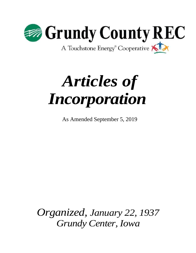

# *Articles of Incorporation*

As Amended September 5, 2019

*Organized, January 22, 1937 Grundy Center, Iowa*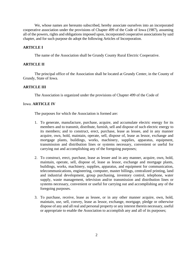We, whose names are hereunto subscribed, hereby associate ourselves into an incorporated cooperative association under the provisions of Chapter 499 of the Code of Iowa (1987), assuming all of the powers, rights and obligations imposed upon, incorporated cooperative associations by said chapter, and for such purpose do adopt the following Articles of Incorporation.

# **ARTICLE I**

The name of the Association shall be Grundy County Rural Electric Cooperative.

# **ARTICLE II**

The principal office of the Association shall be located at Grundy Center, in the County of Grundy, State of Iowa.

# **ARTICLE III**

The Association is organized under the provisions of Chapter 499 of the Code of

# Iowa. **ARTICLE IV**

The purposes for which the Association is formed are:

- 1. To generate, manufacture, purchase, acquire, and accumulate electric energy for its members and to transmit, distribute, furnish, sell and dispose of such electric energy to its members; and to construct, erect, purchase, lease as lessee, and in any manner acquire, own, hold, maintain, operate, sell, dispose of, lease as lessor, exchange and mortgage plants, buildings, works, machinery, supplies, apparatus, equipment, transmission and distribution lines or systems necessary, convenient or useful for carrying out and accomplishing any of the foregoing purposes;
- 2. To construct, erect, purchase, lease as lessee and in any manner, acquire, own, hold, maintain, operate, sell, dispose of, lease as lessor, exchange and mortgage plants, buildings, works, machinery, supplies, apparatus, and equipment for communication, telecommunications, engineering, computer, master billings, centralized printing, land and industrial development, group purchasing, inventory control, telephone, water supply, waste management, television and/or transmission and distribution lines or systems necessary, convenient or useful for carrying out and accomplishing any of the foregoing purposes.
- 3. To purchase, receive, lease as lessee, or in any other manner acquire, own, hold, maintain, use, sell, convey, lease as lessor, exchange, mortgage, pledge or otherwise dispose of any and all real and personal property or any interest therein necessary, useful or appropriate to enable the Association to accomplish any and all of its purposes;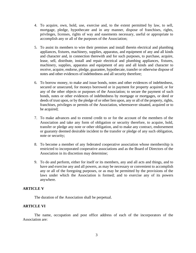- 4. To acquire, own, hold, use, exercise and, to the extent permitted by law, to sell, mortgage, pledge, hypothecate and in any manner, dispose of franchises, rights, privileges, licenses, rights of way and easements necessary, useful or appropriate to accomplish any or all of the purposes of the Association;
- 5. To assist its members to wire their premises and install therein electrical and plumbing appliances, fixtures, machinery, supplies, apparatus, and equipment of any and all kinds and character and, in connection therewith and for such purposes, to purchase, acquire, lease, sell, distribute, install and repair electrical and plumbing appliances, fixtures, machinery, supplies, apparatus and equipment of any and all kinds and character to receive, acquire, endorse, pledge, guarantee, hypothecate, transfer or otherwise dispose of notes and other evidences of indebtedness and all security therefore;
- 6. To borrow money, to make and issue bonds, notes and other evidences of indebtedness, secured or unsecured, for moneys borrowed or in payment for property acquired, or for any of the other objects or purposes of the Association; to secure the payment of such bonds, notes or other evidences of indebtedness by mortgage or mortgages, or deed or deeds of trust upon, or by the pledge of or other lien upon, any or all of the property, rights, franchises, privileges or permits of the Association, wheresoever situated, acquired or to be acquired;
- 7. To make advances and to extend credit to or for the account of the members of the Association and take any form of obligation or security therefore, to acquire, hold, transfer or pledge any note or other obligation, and to make any contract, endorsement or guaranty deemed desirable incident to the transfer or pledge of any such obligation, note or security;
- 8. To become a member of any federated cooperative association whose membership is restricted to incorporated cooperative associations and as the Board of Directors of the Association in its discretion may determine;
- 9. To do and perform, either for itself or its members, any and all acts and things, and to have and exercise any and all powers, as may be necessary or convenient to accomplish any or all of the foregoing purposes, or as may be permitted by the provisions of the laws under which the Association is formed; and to exercise any of its powers anywhere.

#### **ARTICLE V**

The duration of the Association shall be perpetual.

# **ARTICLE VI**

The name, occupation and post office address of each of the incorporators of the Association are: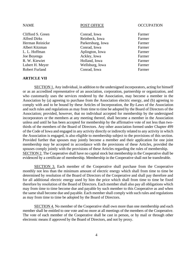Alfred Dirks Reinbeck, Iowa Farmer Herman Reinicke Parkersburg, Iowa Farmer Albert Kitzman Conrad, Iowa Farmer L. L. Hoffman Aplington, Iowa Farmer Joe Boyenga Ackley, Iowa Farmer R. W. Kiewiet **Facture Holland**, Iowa **Farmer** Farmer Lubert H. Meyer Wellsburg, Iowa Farmer Robert Furland Conrad, Iowa Farmer

Clifford S. Green Conrad, Iowa Farmer

NAME POST OFFICE OCCUPATION

## **ARTICLE VII**

SECTION 1. Any individual, in addition to the undersigned incorporators, acting for himself or as an accredited representative of an association, corporation, partnership or organization, and who customarily uses the services rendered by the Association, may become a member in the Association by (a) agreeing to purchase from the Association electric energy, and (b) agreeing to comply with and to be bound by these Articles of Incorporation, the By-Laws of the Association and such rules and regulations as may from time to time be adopted by the Board of Directors of the Association; provided, however, that no individual accepted for membership by the undersigned incorporators or the members at any meeting thereof, shall become a member in the Association unless and until he has been accepted for membership by the affirmative vote of not less than twothirds of the members of the Board of Directors. Any other association formed under Chapter 499 of the Code of Iowa and engaged in any activity directly or indirectly related to any activity in which the Association is engaged, is also eligible to membership subject to the provisions of this section. Provided further that spouses may jointly become a member and their application for one joint membership may be accepted in accordance with the provisions of these Articles, provided the spouses comply jointly with the provisions of these Articles regarding the rules of membership. SECTION 2. The Cooperative shall have no capital stock but membership in the Cooperative shall be evidenced by a certificate of membership. Membership in the Cooperative shall not be transferable.

SECTION 3. Each member of the Cooperative shall purchase from the Cooperative monthly not less than the minimum amount of electric energy which shall from time to time be determined by resolution of the Board of Directors of the Cooperative and shall pay therefore and for all additional electric energy used by him the price which shall from time to time be fixed therefore by resolution of the Board of Directors. Each member shall also pay all obligations which may from time to time become due and payable by such member to this Cooperative as and when the same shall become due and payable. Each member shall comply with such rules and regulations as may from time to time be adopted by the Board of Directors.

SECTION 4. No member of the Cooperative shall own more than one membership and each member shall be entitled to one vote and no more at all meetings of the members of the Cooperative. The vote of each member of the Cooperative shall be cast in person, or by mail or through other electronic means if approved by the Board of Directors, and not by proxy.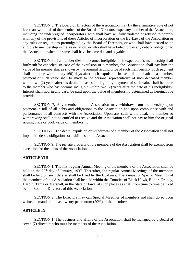SECTION 5. The Board of Directors of the Association may by the affirmative vote of not less than two-thirds of the members of the Board of Directors, expel any member of the Association, including the under-signed incorporators, who shall have willfully violated or refused to comply with any of the provisions of these Articles of Incorporation or the By-Laws of the Association or any rules or regulations promulgated by the Board of Directors, or who shall have ceased to be eligible to membership in the Association, or who shall have failed to pay any debt or obligation to the Association when the same shall have become due and payable.

SECTION 6. If a member dies or becomes ineligible, or is expelled, his membership shall forthwith be canceled. In case of the expulsion of a member, the Association shall pay him the value of his membership as shown by the original issuing price of such membership. Such payment shall be made within sixty (60) days after such expulsion. In case of the death of a member, payment of such value shall be made to the personal representative of such deceased member within two (2) years after his death. In case of ineligibility, payment of such value shall be made to the member who has become ineligible within two (2) years after the date of his ineligibility. Interest shall not, in any case, be paid upon the value of membership determined as hereinabove provided.

SECTION 7. Any member of the Association may withdraw from membership upon payment in full of all debts and obligations to the Association and upon compliance with and performance of all contracts with the Association. Upon any such withdrawal, the member so withdrawing shall not be entitled to receive and the Association shall not pay to him the original issuing price or book value of membership.

SECTION 8. The death, expulsion or withdrawal of a member of the Association shall not impair his debts, obligations or liabilities to the Association.

SECTION 9. The private property of the members of the Association shall be exempt from execution for the debts of the Association.

#### **ARTICLE VIII**

SECTION 1. The first regular Annual Meeting of the members of the Association shall be held on the 29<sup>th</sup> day of January, 1937. Thereafter, the regular Annual Meetings of the members shall be held on such date as shall be fixed by the By-Laws. The Annual or Special Meetings of the members of this Association shall be held within the Counties of Black Hawk, Butler, Grundy, Hardin, Tama or Marshall, in the State of Iowa, at such places as shall from time to time be fixed by the Board of Directors of this Association.

SECTION 2. The Directors may call Special Meetings of members and shall do so upon written demand of at least twenty per centum (20%) of the members.

## **ARTICLE IX**

SECTION 1. The business and affairs of the Association shall be managed by a Board of seven (7) directors who must be members of the Association.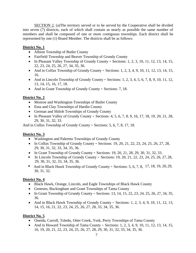SECTION 2. (a)The territory served or to be served by the Cooperative shall be divided into seven (7) districts, each of which shall contain as nearly as possible the same number of members and shall be composed of one or more contiguous townships. Each district shall be represented by one (1) Board Member. The districts shall be as follows:

# **District No. 1**

- Albion Township of Butler County
- Fairfield Township and Beaver Township of Grundy County
- In Pleasant Valley Township of Grundy County Sections: 1, 2, 3, 10, 11, 12, 13, 14, 15, 22, 23, 24, 25, 26, 27, 34, 35, 36.
- And in Colfax Township of Grundy County Sections: 1, 2, 3, 4, 9, 10, 11, 12, 13, 14, 15, 16.
- And in Lincoln Township of Grundy County Sections: 1, 2, 3, 4, 5, 6, 7, 8, 9, 10, 11, 12, 13, 14, 15, 16, 17, 18.
- And in Grant Township of Grundy County Sections: 7, 18.

# **District No. 2**

- Monroe and Washington Townships of Butler County
- Etna and Clay Townships of Hardin County
- German and Shiloh Townships of Grundy County
- In Pleasant Valley of Grundy County Sections:  $4, 5, 6, 7, 8, 9, 16, 17, 18, 19, 20, 21, 28,$ 29, 30, 31, 32, 33.

And in Colfax Township of Grundy County - Sections: 5, 6, 7, 8, 17, 18.

# **District No. 3**

- Washington and Palermo Townships of Grundy County
- In Colfax Township of Grundy County Sections: 19, 20, 21, 22, 23, 24, 25, 26, 27, 28, 29, 30, 31, 32, 33, 34, 35, 36.
- In Grant Township of Grundy County Sections: 19, 20, 21, 28, 29, 30, 31, 32, 33.
- In Lincoln Township of Grundy County Sections: 19, 20, 21, 22, 23, 24, 25, 26, 27, 28, 29, 30, 31, 32, 33, 34, 35, 36.
- And in Black Hawk Township of Grundy County Sections: 5, 6, 7, 8, 17, 18, 19, 20, 29, 30, 31, 32.

# **District No. 4**

- Black Hawk, Orange, Lincoln, and Eagle Townships of Black Hawk County
- Geneseo, Buckingham and Grant Townships of Tama County
- In Grant Township of Grundy County Sections: 13, 14, 15, 22, 23, 24, 25, 26, 27, 34, 35, 36.
- And in Black Hawk Township of Grundy County Sections: 1, 2, 3, 4, 9, 10, 11, 12, 13, 14, 15, 16, 21, 22, 23, 24, 25, 26, 27, 28, 33, 34, 35, 36.

# **District No. 5**

- Oneida, Carroll, Toledo, Otter Creek, York, Perry Townships of Tama County
- And in Howard Township of Tama County Sections: 1, 2, 3, 4, 9, 10, 11, 12, 13, 14, 15, 16, 19, 20, 21, 22, 23, 24, 25, 26, 27, 28, 29, 30, 31, 32, 33, 34, 35, 36.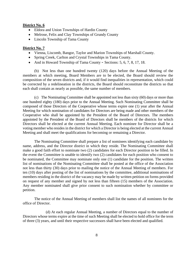# **District No. 6**

- Eldora and Union Townships of Hardin County
- Melrose, Felix and Clay Townships of Grundy County
- Lincoln Township of Tama County

# **District No. 7**

- Vienna, Liscomb, Bangor, Taylor and Marion Townships of Marshall County.
- Spring Creek, Carlton and Crystal Townships in Tama County.
- And in Howard Township of Tama County Sections: 5, 6, 7, 8, 17, 18.

(b) Not less than one hundred twenty (120) days before the Annual Meeting of the members at which meeting, Board Members are to be elected, the Board should review the composition of the seven districts and, if it would find inequalities in representation, which could be corrected by a redelineation in the districts, the Board should reconstitute the districts so that each shall contain as nearly as possible, the same number of members.

(c) The Nominating Committee shall be appointed not less than sixty (60) days or more than one hundred eighty (180) days prior to the Annual Meeting. Such Nominating Committee shall be composed of those Directors of the Cooperative whose terms expire one (1) year after the Annual Meeting for which nomination of candidates for Directors are being made and other members of the Cooperative who shall be appointed by the President of the Board of Directors. The members appointed by the President of the Board of Directors shall be members of the districts for which Directors shall be elected at the current Annual Meeting. Each nominee for Director shall be a voting member who resides in the district for which a Director is being elected at the current Annual Meeting and shall meet the qualifications for becoming or remaining a Director.

The Nominating Committee shall prepare a list of nominees identifying each candidate by name, address, and the Director district in which they reside. The Nominating Committee shall make a good faith effort to nominate two (2) candidates for each Director position to be filled. In the event the Committee is unable to identify two (2) candidates for each position who consent to be nominated, the Committee may nominate only one (1) candidate for the position. The written list of nominations of the Nominating Committee shall be posted at the office of the Association not less than thirty (30) days prior to mailing the notice of the Annual Meeting of members. For ten (10) days after posting of the list of nominations by the committee, additional nominations of members residing in the district of the vacancy may be made by written petition on forms provided on request of any member and signed by not less than fifteen (15) members of the Association. Any member nominated shall give prior consent to such nomination whether by committee or petition.

The notice of the Annual Meeting of members shall list the names of all nominees for the office of Director.

(d) At each regular Annual Meeting, a number of Directors equal to the number of Directors whose terms expire at the time of such Meeting shall be elected to hold office for the term of three (3) years, and until their respective successors shall have been elected and qualified.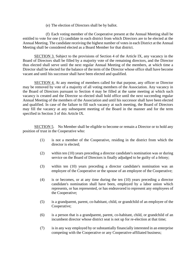(e) The election of Directors shall be by ballot.

(f) Each voting member of the Cooperative present at the Annual Meeting shall be entitled to vote for one (1) candidate in each district from which Directors are to be elected at the Annual Meeting. The candidate receiving the highest number of votes in each District at the Annual Meeting shall be considered elected as a Board Member for that district.

SECTION 3. Subject to the provisions of Section 4 of the Article IX, any vacancy in the Board of Directors shall be filled by a majority vote of the remaining directors, and the Director thus elected shall serve until the next regular Annual Meeting of the members, at which time a Director shall be elected for the balance of the term of the Director whose office shall have become vacant and until his successor shall have been elected and qualified.

SECTION 4. At any meeting of members called for that purpose, any officer or Director may be removed by vote of a majority of all voting members of the Association. Any vacancy in the Board of Directors pursuant to Section 4 may be filled at the same meeting at which such vacancy is created and the Director so elected shall hold office until the next succeeding regular Annual Meeting of the members of the Association and until his successor shall have been elected and qualified. In case of the failure to fill such vacancy at such meeting, the Board of Directors may fill the vacancy at any subsequent meeting of the Board in the manner and for the term specified in Section 3 of this Article IX.

SECTION 5. No Member shall be eligible to become or remain a Director or to hold any position of trust in the Cooperative who:

- (1) is not a member of the Cooperative, residing in the district from which the director is elected;
- (2) within ten (10) years preceding a director candidate's nomination was or during service on the Board of Directors is finally adjudged to be guilty of a felony;
- (3) within ten (10) years preceding a director candidate's nomination was an employee of the Cooperative or the spouse of an employee of the Cooperative;
- (4) is or becomes, or at any time during the ten (10) years preceding a director candidate's nomination shall have been, employed by a labor union which represents, or has represented, or has endeavored to represent any employees of the Cooperative;
- (5) is a grandparent, parent, co-habitant, child, or grandchild of an employee of the Cooperative;
- (6) is a person that is a grandparent, parent, co-habitant, child, or grandchild of an incumbent director whose district seat is not up for re-election at that time;
- (7) is in any way employed by or substantially financially interested in an enterprise competing with the Cooperative or any Cooperative-affiliated business;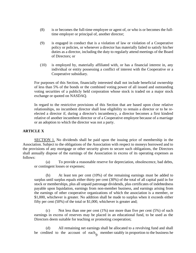- (8) is or becomes the full-time employee or agent of, or who is or becomes the fulltime employer or principal of, another director;
- (9) is engaged in conduct that is a violation of law or violation of a Cooperative policy or policies, or whenever a director has materially failed to satisfy his/her duties as a director, including the duty to regularly attend meetings of the Board of Directors; or
- (10) is employed by, materially affiliated with, or has a financial interest in, any individual or entity possessing a conflict of interest with the Cooperative or a Cooperative subsidiary.

For purposes of this Section, financially interested shall not include beneficial ownership of less than 5% of the bonds or the combined voting power of all issued and outstanding voting securities of a publicly held corporation whose stock is traded on a major stock exchange or quoted on NASDAQ.

In regard to the restrictive provisions of this Section that are based upon close relative relationships, no incumbent director shall lose eligibility to remain a director or to be reelected a director if, during a director's incumbency, a director becomes a first kindred relative of another incumbent director or of a Cooperative employee because of a marriage or an adoption to which the director was not a party.

# **ARTICLE X**

SECTION 1. No dividends shall be paid upon the issuing price of membership in the Association. Subject to the obligations of the Association with respect to moneys borrowed and to the provisions of any mortgage or other security given to secure such obligations, the Directors shall annually dispose of the earnings of the Association in excess of its operating expenses as follows:

(a) To provide a reasonable reserve for depreciation, obsolescence, bad debts, or contingent losses or expenses;

(b) At least ten per cent (10%) of the remaining earnings must be added to surplus until surplus equals either thirty per cent (30%) of the total of all capital paid in for stock or memberships, plus all unpaid patronage dividends, plus certificates of indebtedness payable upon liquidation, earnings from non-member business, and earnings arising from the earnings of other cooperative organizations of which the association is a member, or \$1,000, whichever is greater. No addition shall be made to surplus when it exceeds either fifty per cent (50%) of the total or \$1,000, whichever is greater and;

(c) Not less than one per cent (1%) nor more than five per cent (5%) of such earnings in excess of reserves may be placed in an educational fund, to be used as the Directors deem suitable for teaching or promoting cooperation;

(d) All remaining net earnings shall be allocated to a revolving fund and shall be credited to the account of each member ratably in proportion to the business he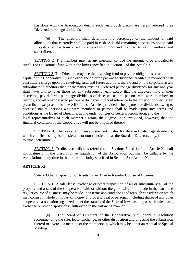has done with the Association during such year. Such credits are herein referred to as "deferred patronage dividends".

(e) The directors shall determine the percentage or the amount of said allocations that currently shall be paid in cash. All said remaining allocations not so paid in cash shall be transferred to a revolving fund and credited to said members and subscribers.

SECTION 2. The members may, at any meeting, control the amount to be allocated to surplus or educational fund within the limits specified in Section 1 of this Article X.

SECTION 3. The Directors may use the revolving fund to pay the obligations or add to the capital of the Cooperative. In such event the deferred patronage dividends credited to members shall constitute a charge upon the revolving fund and future additions thereto and on the corporate assets subordinate to creditors then or thereafter existing. Deferred patronage dividends for any one year shall have priority over those for any subsequent year, except that the directors may, at their discretion, pay deferred patronage dividends of deceased natural persons who were members or patrons, and all other deferred patronage dividends, without reference to the order of priority herein prescribed, except as in Article XII of these Articles provided. The payment of dividends owing to deceased natural persons who were members or patrons shall be made upon such terms and conditions as the Board of Directors, acting under policies of General Application, and the legal representatives of such member's estate shall agree upon; provided, however, that the financial condition of the Cooperative will not be impaired thereby.

SECTION 4. The Association may issue certificates for deferred patronage dividends, which certificates may be transferable or non-transferable as the Board of Directors may, from time to time, determine.

SECTION 5. Credits or certificates referred to in Sections 3 and 4 of this Article X, shall not mature until the dissolution or liquidation of the Association but shall be callable by the Association at any time in the order of priority specified in Section 3 of Article X.

#### **ARTICLE XI**

Sale or Other Disposition of Assets Other Than in Regular Course of Business.

SECTION 1. A sale, lease, exchange or other disposition of all or substantially all of the property and assets of the Cooperative, with or without the good will, if not made in the usual and regular course of business, may be made upon terms and conditions and for such consideration which may consist in whole or in part of money or property, real or personal, including shares of any other cooperative association organized under the statutes of the State of Iowa, as long as such sale, lease, exchange or other disposition is authorized in the following manner:

(a) The Board of Directors of the Cooperative shall adopt a resolution recommending the sale, lease, exchange, or other disposition and directing the submission thereof to a vote at a meeting of the membership, which may be either an Annual or Special Meeting.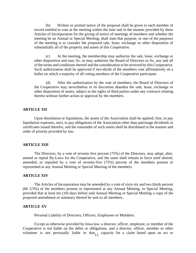(b) Written or printed notice of the proposal shall be given to each member of record entitled to vote at the meeting within the time and in the manner provided by these Articles of Incorporation for the giving of notice of meetings of members and whether the meeting be an Annual or Special Meeting, shall state that purpose, or one of the purposes of the meeting is to consider the proposed sale, lease, exchange or other disposition of substantially all of the property and assets of this Cooperative.

(c) At the meeting, the membership may authorize the sale, lease, exchange or other disposition and may fix, or may authorize the Board of Directors to fix, any and all of the terms and conditions thereof and the consideration to be received by this Cooperative. Such authorization shall be approved if two-thirds of the members vote affirmatively on a ballot on which a majority of all voting members of the Cooperative participate.

(d) After the authorization by the vote of members, the Board of Directors of the Cooperative may nevertheless in its discretion abandon the sale, lease, exchange or other disposition of assets, subject to the rights of third parties under any contracts relating thereto without further action or approval by the members.

#### **ARTICLE XII**

Upon dissolution or liquidation, the assets of the Association shall be applied, first, to pay liquidation expenses, next, to pay obligations of the Association other than patronage dividends or certificates issued therefor, and the remainder of such assets shall be distributed in the manner and order of priority provided by law.

#### **ARTICLE XIII**

The Directors, by a vote of seventy-five percent (75%) of the Directors, may adopt, alter, amend or repeal By-Laws for the Cooperative, and the same shall remain in force until altered, amended, or repealed by a vote of seventy-five (75%) percent of the members present or represented at any Annual Meeting or Special Meeting of the members.

#### **ARTICLE XIV**

The Articles of Incorporation may be amended by a vote of sixty-six and two thirds percent (66 2/3%) of the members present or represented at any Annual Meeting, or Special Meeting, provided that at least ten (10) days before said Annual Meeting or Special Meeting a copy of the proposed amendment or summary thereof be sent to all members.

# **ARTICLE XV**

Personal Liability of Directors, Officers, Employees or Members.

Except as otherwise provided by Iowa law, a director, officer, employee, or member of the Cooperative is not liable on the debts or obligations, and a director, officer, member or other volunteer is not personally liable in that  $_{11}$  capacity for a claim based upon an act or